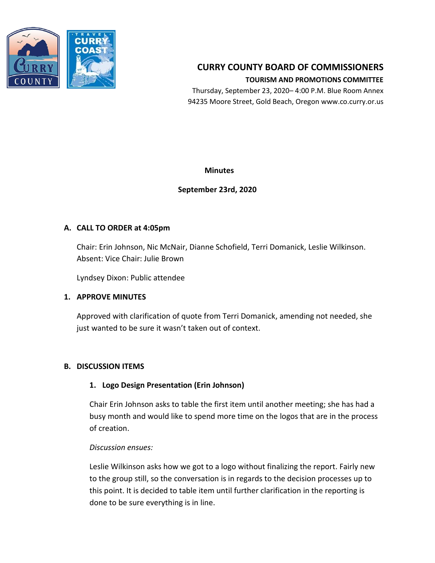

# **CURRY COUNTY BOARD OF COMMISSIONERS TOURISM AND PROMOTIONS COMMITTEE**

Thursday, September 23, 2020– 4:00 P.M. Blue Room Annex 94235 Moore Street, Gold Beach, Oregon www.co.curry.or.us

**Minutes**

## **September 23rd, 2020**

### **A. CALL TO ORDER at 4:05pm**

Chair: Erin Johnson, Nic McNair, Dianne Schofield, Terri Domanick, Leslie Wilkinson. Absent: Vice Chair: Julie Brown

Lyndsey Dixon: Public attendee

## **1. APPROVE MINUTES**

Approved with clarification of quote from Terri Domanick, amending not needed, she just wanted to be sure it wasn't taken out of context.

### **B. DISCUSSION ITEMS**

### **1. Logo Design Presentation (Erin Johnson)**

Chair Erin Johnson asks to table the first item until another meeting; she has had a busy month and would like to spend more time on the logos that are in the process of creation.

### *Discussion ensues:*

Leslie Wilkinson asks how we got to a logo without finalizing the report. Fairly new to the group still, so the conversation is in regards to the decision processes up to this point. It is decided to table item until further clarification in the reporting is done to be sure everything is in line.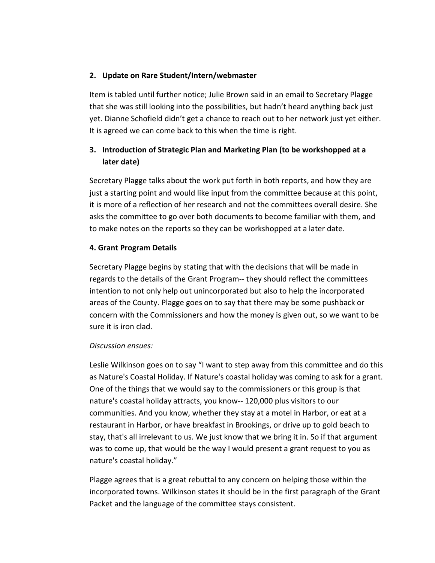## **2. Update on Rare Student/Intern/webmaster**

Item is tabled until further notice; Julie Brown said in an email to Secretary Plagge that she was still looking into the possibilities, but hadn't heard anything back just yet. Dianne Schofield didn't get a chance to reach out to her network just yet either. It is agreed we can come back to this when the time is right.

## **3. Introduction of Strategic Plan and Marketing Plan (to be workshopped at a later date)**

Secretary Plagge talks about the work put forth in both reports, and how they are just a starting point and would like input from the committee because at this point, it is more of a reflection of her research and not the committees overall desire. She asks the committee to go over both documents to become familiar with them, and to make notes on the reports so they can be workshopped at a later date.

## **4. Grant Program Details**

Secretary Plagge begins by stating that with the decisions that will be made in regards to the details of the Grant Program-- they should reflect the committees intention to not only help out unincorporated but also to help the incorporated areas of the County. Plagge goes on to say that there may be some pushback or concern with the Commissioners and how the money is given out, so we want to be sure it is iron clad.

### *Discussion ensues:*

Leslie Wilkinson goes on to say "I want to step away from this committee and do this as Nature's Coastal Holiday. If Nature's coastal holiday was coming to ask for a grant. One of the things that we would say to the commissioners or this group is that nature's coastal holiday attracts, you know-- 120,000 plus visitors to our communities. And you know, whether they stay at a motel in Harbor, or eat at a restaurant in Harbor, or have breakfast in Brookings, or drive up to gold beach to stay, that's all irrelevant to us. We just know that we bring it in. So if that argument was to come up, that would be the way I would present a grant request to you as nature's coastal holiday."

Plagge agrees that is a great rebuttal to any concern on helping those within the incorporated towns. Wilkinson states it should be in the first paragraph of the Grant Packet and the language of the committee stays consistent.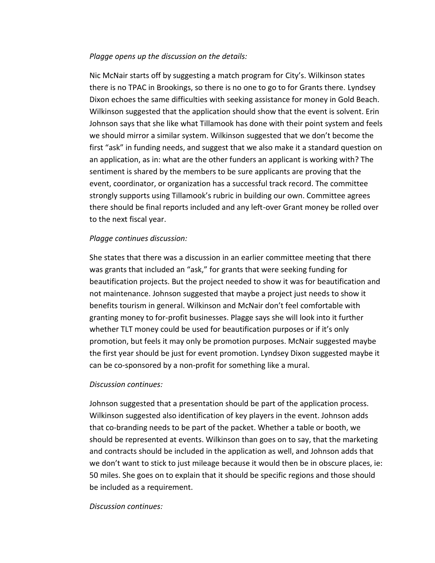#### *Plagge opens up the discussion on the details:*

Nic McNair starts off by suggesting a match program for City's. Wilkinson states there is no TPAC in Brookings, so there is no one to go to for Grants there. Lyndsey Dixon echoes the same difficulties with seeking assistance for money in Gold Beach. Wilkinson suggested that the application should show that the event is solvent. Erin Johnson says that she like what Tillamook has done with their point system and feels we should mirror a similar system. Wilkinson suggested that we don't become the first "ask" in funding needs, and suggest that we also make it a standard question on an application, as in: what are the other funders an applicant is working with? The sentiment is shared by the members to be sure applicants are proving that the event, coordinator, or organization has a successful track record. The committee strongly supports using Tillamook's rubric in building our own. Committee agrees there should be final reports included and any left-over Grant money be rolled over to the next fiscal year.

### *Plagge continues discussion:*

She states that there was a discussion in an earlier committee meeting that there was grants that included an "ask," for grants that were seeking funding for beautification projects. But the project needed to show it was for beautification and not maintenance. Johnson suggested that maybe a project just needs to show it benefits tourism in general. Wilkinson and McNair don't feel comfortable with granting money to for-profit businesses. Plagge says she will look into it further whether TLT money could be used for beautification purposes or if it's only promotion, but feels it may only be promotion purposes. McNair suggested maybe the first year should be just for event promotion. Lyndsey Dixon suggested maybe it can be co-sponsored by a non-profit for something like a mural.

#### *Discussion continues:*

Johnson suggested that a presentation should be part of the application process. Wilkinson suggested also identification of key players in the event. Johnson adds that co-branding needs to be part of the packet. Whether a table or booth, we should be represented at events. Wilkinson than goes on to say, that the marketing and contracts should be included in the application as well, and Johnson adds that we don't want to stick to just mileage because it would then be in obscure places, ie: 50 miles. She goes on to explain that it should be specific regions and those should be included as a requirement.

#### *Discussion continues:*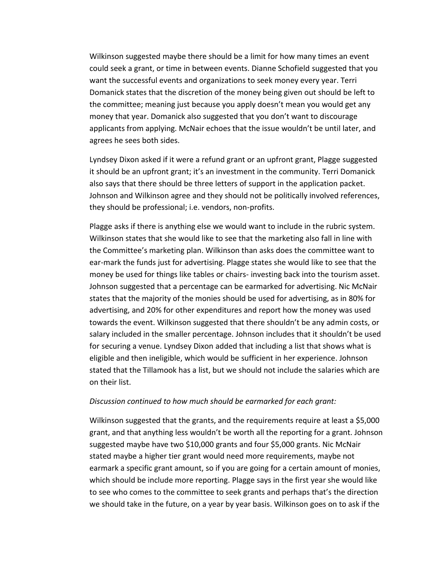Wilkinson suggested maybe there should be a limit for how many times an event could seek a grant, or time in between events. Dianne Schofield suggested that you want the successful events and organizations to seek money every year. Terri Domanick states that the discretion of the money being given out should be left to the committee; meaning just because you apply doesn't mean you would get any money that year. Domanick also suggested that you don't want to discourage applicants from applying. McNair echoes that the issue wouldn't be until later, and agrees he sees both sides.

Lyndsey Dixon asked if it were a refund grant or an upfront grant, Plagge suggested it should be an upfront grant; it's an investment in the community. Terri Domanick also says that there should be three letters of support in the application packet. Johnson and Wilkinson agree and they should not be politically involved references, they should be professional; i.e. vendors, non-profits.

Plagge asks if there is anything else we would want to include in the rubric system. Wilkinson states that she would like to see that the marketing also fall in line with the Committee's marketing plan. Wilkinson than asks does the committee want to ear-mark the funds just for advertising. Plagge states she would like to see that the money be used for things like tables or chairs- investing back into the tourism asset. Johnson suggested that a percentage can be earmarked for advertising. Nic McNair states that the majority of the monies should be used for advertising, as in 80% for advertising, and 20% for other expenditures and report how the money was used towards the event. Wilkinson suggested that there shouldn't be any admin costs, or salary included in the smaller percentage. Johnson includes that it shouldn't be used for securing a venue. Lyndsey Dixon added that including a list that shows what is eligible and then ineligible, which would be sufficient in her experience. Johnson stated that the Tillamook has a list, but we should not include the salaries which are on their list.

#### *Discussion continued to how much should be earmarked for each grant:*

Wilkinson suggested that the grants, and the requirements require at least a \$5,000 grant, and that anything less wouldn't be worth all the reporting for a grant. Johnson suggested maybe have two \$10,000 grants and four \$5,000 grants. Nic McNair stated maybe a higher tier grant would need more requirements, maybe not earmark a specific grant amount, so if you are going for a certain amount of monies, which should be include more reporting. Plagge says in the first year she would like to see who comes to the committee to seek grants and perhaps that's the direction we should take in the future, on a year by year basis. Wilkinson goes on to ask if the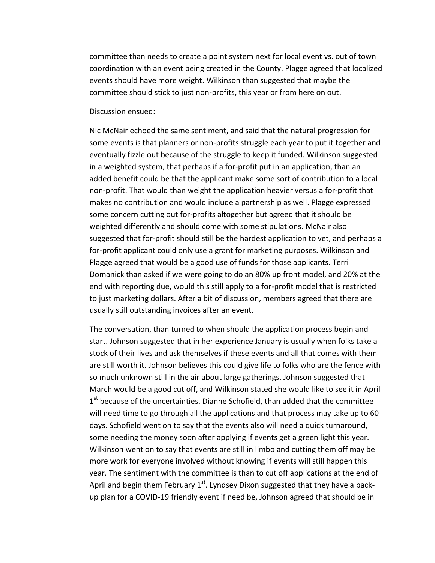committee than needs to create a point system next for local event vs. out of town coordination with an event being created in the County. Plagge agreed that localized events should have more weight. Wilkinson than suggested that maybe the committee should stick to just non-profits, this year or from here on out.

Discussion ensued:

Nic McNair echoed the same sentiment, and said that the natural progression for some events is that planners or non-profits struggle each year to put it together and eventually fizzle out because of the struggle to keep it funded. Wilkinson suggested in a weighted system, that perhaps if a for-profit put in an application, than an added benefit could be that the applicant make some sort of contribution to a local non-profit. That would than weight the application heavier versus a for-profit that makes no contribution and would include a partnership as well. Plagge expressed some concern cutting out for-profits altogether but agreed that it should be weighted differently and should come with some stipulations. McNair also suggested that for-profit should still be the hardest application to vet, and perhaps a for-profit applicant could only use a grant for marketing purposes. Wilkinson and Plagge agreed that would be a good use of funds for those applicants. Terri Domanick than asked if we were going to do an 80% up front model, and 20% at the end with reporting due, would this still apply to a for-profit model that is restricted to just marketing dollars. After a bit of discussion, members agreed that there are usually still outstanding invoices after an event.

The conversation, than turned to when should the application process begin and start. Johnson suggested that in her experience January is usually when folks take a stock of their lives and ask themselves if these events and all that comes with them are still worth it. Johnson believes this could give life to folks who are the fence with so much unknown still in the air about large gatherings. Johnson suggested that March would be a good cut off, and Wilkinson stated she would like to see it in April 1<sup>st</sup> because of the uncertainties. Dianne Schofield, than added that the committee will need time to go through all the applications and that process may take up to 60 days. Schofield went on to say that the events also will need a quick turnaround, some needing the money soon after applying if events get a green light this year. Wilkinson went on to say that events are still in limbo and cutting them off may be more work for everyone involved without knowing if events will still happen this year. The sentiment with the committee is than to cut off applications at the end of April and begin them February 1<sup>st</sup>. Lyndsey Dixon suggested that they have a backup plan for a COVID-19 friendly event if need be, Johnson agreed that should be in